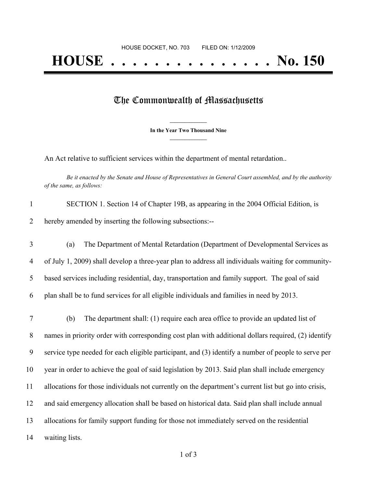## The Commonwealth of Massachusetts

**\_\_\_\_\_\_\_\_\_\_\_\_\_\_\_ In the Year Two Thousand Nine \_\_\_\_\_\_\_\_\_\_\_\_\_\_\_**

An Act relative to sufficient services within the department of mental retardation..

Be it enacted by the Senate and House of Representatives in General Court assembled, and by the authority *of the same, as follows:*

| $\mathbf{1}$   | SECTION 1. Section 14 of Chapter 19B, as appearing in the 2004 Official Edition, is                  |
|----------------|------------------------------------------------------------------------------------------------------|
| $\overline{2}$ | hereby amended by inserting the following subsections:--                                             |
| 3              | The Department of Mental Retardation (Department of Developmental Services as<br>(a)                 |
| 4              | of July 1, 2009) shall develop a three-year plan to address all individuals waiting for community-   |
| 5              | based services including residential, day, transportation and family support. The goal of said       |
| 6              | plan shall be to fund services for all eligible individuals and families in need by 2013.            |
| $\tau$         | The department shall: (1) require each area office to provide an updated list of<br>(b)              |
| 8              | names in priority order with corresponding cost plan with additional dollars required, (2) identify  |
| 9              | service type needed for each eligible participant, and (3) identify a number of people to serve per  |
| 10             | year in order to achieve the goal of said legislation by 2013. Said plan shall include emergency     |
| 11             | allocations for those individuals not currently on the department's current list but go into crisis, |
| 12             | and said emergency allocation shall be based on historical data. Said plan shall include annual      |
| 13             | allocations for family support funding for those not immediately served on the residential           |
| 14             | waiting lists.                                                                                       |
|                |                                                                                                      |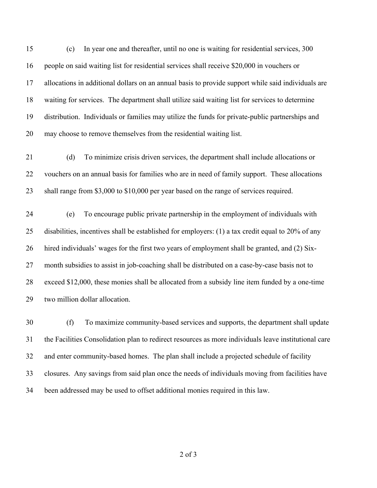(c) In year one and thereafter, until no one is waiting for residential services, 300 people on said waiting list for residential services shall receive \$20,000 in vouchers or allocations in additional dollars on an annual basis to provide support while said individuals are waiting for services. The department shall utilize said waiting list for services to determine distribution. Individuals or families may utilize the funds for private-public partnerships and may choose to remove themselves from the residential waiting list.

 (d) To minimize crisis driven services, the department shall include allocations or vouchers on an annual basis for families who are in need of family support. These allocations shall range from \$3,000 to \$10,000 per year based on the range of services required.

 (e) To encourage public private partnership in the employment of individuals with disabilities, incentives shall be established for employers: (1) a tax credit equal to 20% of any hired individuals' wages for the first two years of employment shall be granted, and (2) Six- month subsidies to assist in job-coaching shall be distributed on a case-by-case basis not to exceed \$12,000, these monies shall be allocated from a subsidy line item funded by a one-time two million dollar allocation.

 (f) To maximize community-based services and supports, the department shall update the Facilities Consolidation plan to redirect resources as more individuals leave institutional care and enter community-based homes. The plan shall include a projected schedule of facility closures. Any savings from said plan once the needs of individuals moving from facilities have been addressed may be used to offset additional monies required in this law.

of 3